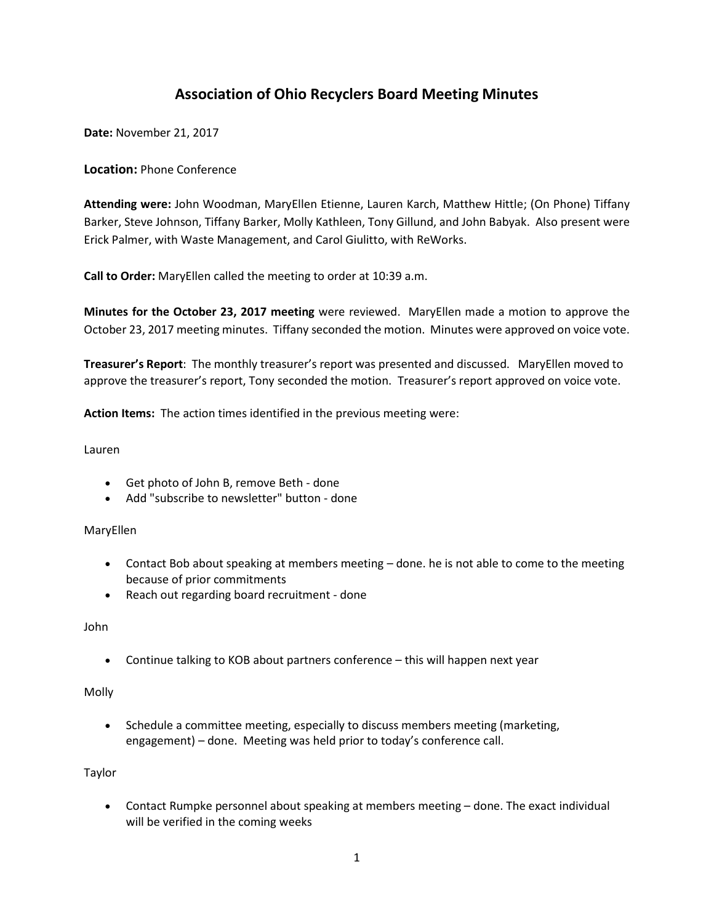# **Association of Ohio Recyclers Board Meeting Minutes**

**Date:** November 21, 2017

## **Location:** Phone Conference

**Attending were:** John Woodman, MaryEllen Etienne, Lauren Karch, Matthew Hittle; (On Phone) Tiffany Barker, Steve Johnson, Tiffany Barker, Molly Kathleen, Tony Gillund, and John Babyak. Also present were Erick Palmer, with Waste Management, and Carol Giulitto, with ReWorks.

**Call to Order:** MaryEllen called the meeting to order at 10:39 a.m.

**Minutes for the October 23, 2017 meeting** were reviewed. MaryEllen made a motion to approve the October 23, 2017 meeting minutes. Tiffany seconded the motion. Minutes were approved on voice vote.

**Treasurer's Report**: The monthly treasurer's report was presented and discussed. MaryEllen moved to approve the treasurer's report, Tony seconded the motion. Treasurer's report approved on voice vote.

**Action Items:** The action times identified in the previous meeting were:

Lauren

- Get photo of John B, remove Beth done
- Add "subscribe to newsletter" button done

#### MaryEllen

- Contact Bob about speaking at members meeting done. he is not able to come to the meeting because of prior commitments
- Reach out regarding board recruitment done

John

• Continue talking to KOB about partners conference – this will happen next year

Molly

• Schedule a committee meeting, especially to discuss members meeting (marketing, engagement) – done. Meeting was held prior to today's conference call.

Taylor

• Contact Rumpke personnel about speaking at members meeting – done. The exact individual will be verified in the coming weeks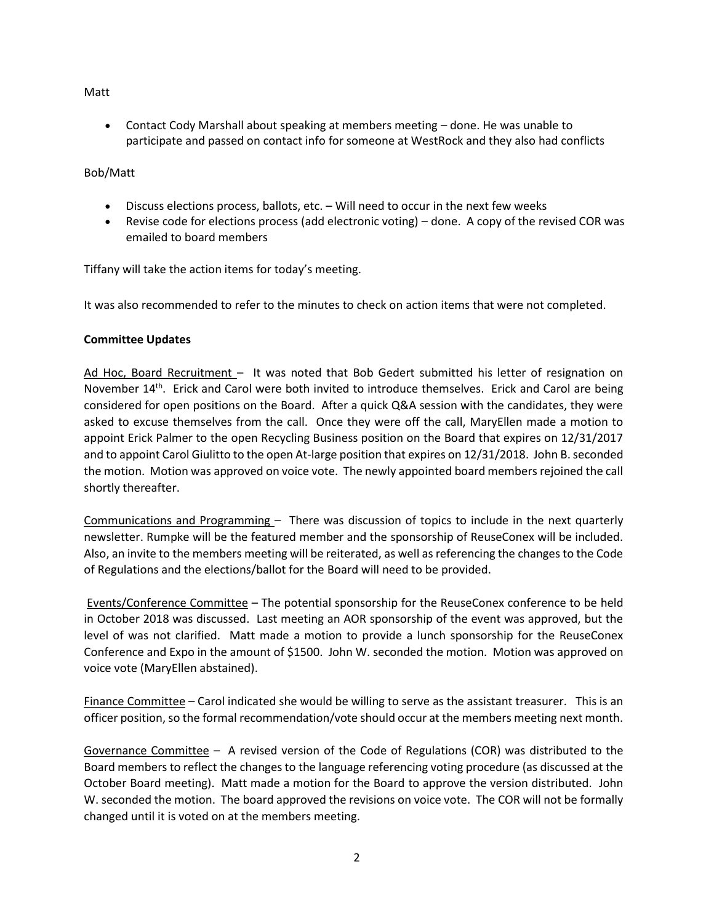### Matt

• Contact Cody Marshall about speaking at members meeting – done. He was unable to participate and passed on contact info for someone at WestRock and they also had conflicts

## Bob/Matt

- Discuss elections process, ballots, etc. Will need to occur in the next few weeks
- Revise code for elections process (add electronic voting) done. A copy of the revised COR was emailed to board members

Tiffany will take the action items for today's meeting.

It was also recommended to refer to the minutes to check on action items that were not completed.

## **Committee Updates**

Ad Hoc, Board Recruitment – It was noted that Bob Gedert submitted his letter of resignation on November 14<sup>th</sup>. Erick and Carol were both invited to introduce themselves. Erick and Carol are being considered for open positions on the Board. After a quick Q&A session with the candidates, they were asked to excuse themselves from the call. Once they were off the call, MaryEllen made a motion to appoint Erick Palmer to the open Recycling Business position on the Board that expires on 12/31/2017 and to appoint Carol Giulitto to the open At-large position that expires on 12/31/2018. John B. seconded the motion. Motion was approved on voice vote. The newly appointed board members rejoined the call shortly thereafter.

Communications and Programming – There was discussion of topics to include in the next quarterly newsletter. Rumpke will be the featured member and the sponsorship of ReuseConex will be included. Also, an invite to the members meeting will be reiterated, as well as referencing the changes to the Code of Regulations and the elections/ballot for the Board will need to be provided.

Events/Conference Committee – The potential sponsorship for the ReuseConex conference to be held in October 2018 was discussed. Last meeting an AOR sponsorship of the event was approved, but the level of was not clarified. Matt made a motion to provide a lunch sponsorship for the ReuseConex Conference and Expo in the amount of \$1500. John W. seconded the motion. Motion was approved on voice vote (MaryEllen abstained).

Finance Committee – Carol indicated she would be willing to serve as the assistant treasurer. This is an officer position, so the formal recommendation/vote should occur at the members meeting next month.

Governance Committee – A revised version of the Code of Regulations (COR) was distributed to the Board members to reflect the changes to the language referencing voting procedure (as discussed at the October Board meeting). Matt made a motion for the Board to approve the version distributed. John W. seconded the motion. The board approved the revisions on voice vote. The COR will not be formally changed until it is voted on at the members meeting.